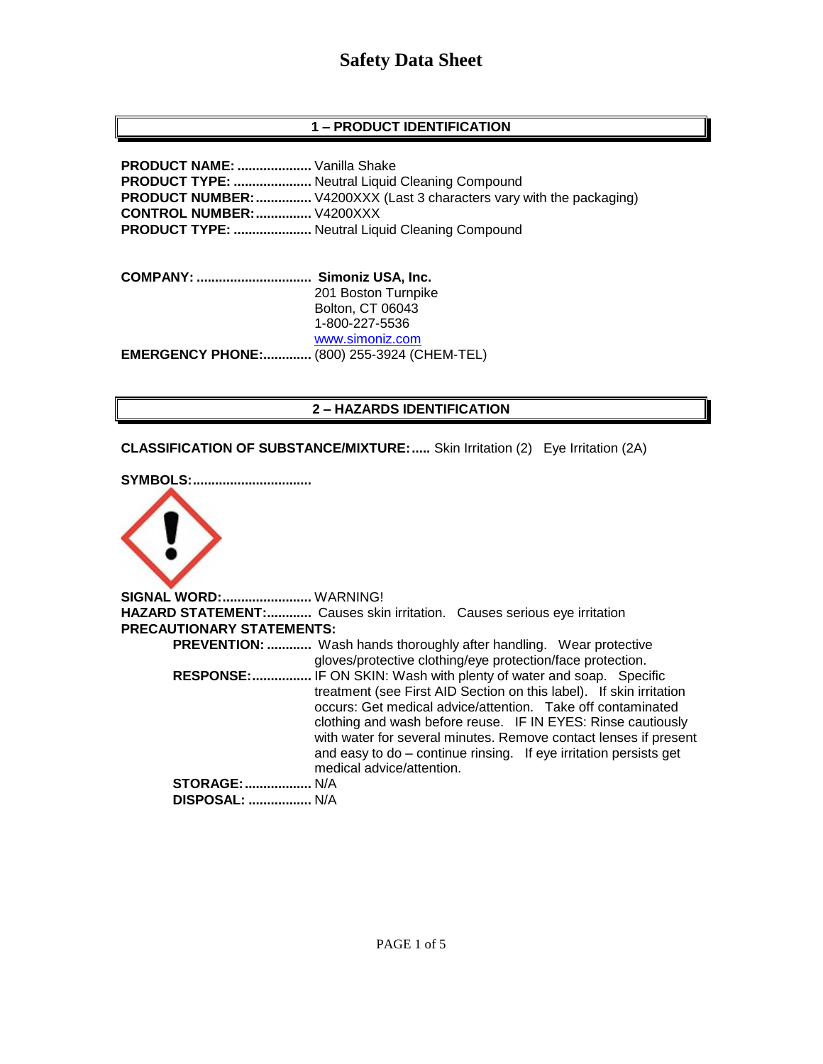## **1 – PRODUCT IDENTIFICATION**

**PRODUCT NAME: ....................** Vanilla Shake **PRODUCT TYPE: .....................** Neutral Liquid Cleaning Compound **PRODUCT NUMBER: ................** V4200XXX (Last 3 characters vary with the packaging) **CONTROL NUMBER:...............** V4200XXX **PRODUCT TYPE: .....................** Neutral Liquid Cleaning Compound

**COMPANY: ............................... Simoniz USA, Inc.** 201 Boston Turnpike Bolton, CT 06043 1-800-227-5536 [www.simoniz.com](http://www.simoniz.com/) **EMERGENCY PHONE:.............** (800) 255-3924 (CHEM-TEL)

### **2 – HAZARDS IDENTIFICATION**

**CLASSIFICATION OF SUBSTANCE/MIXTURE:.....** Skin Irritation (2) Eye Irritation (2A)

**SYMBOLS:................................**

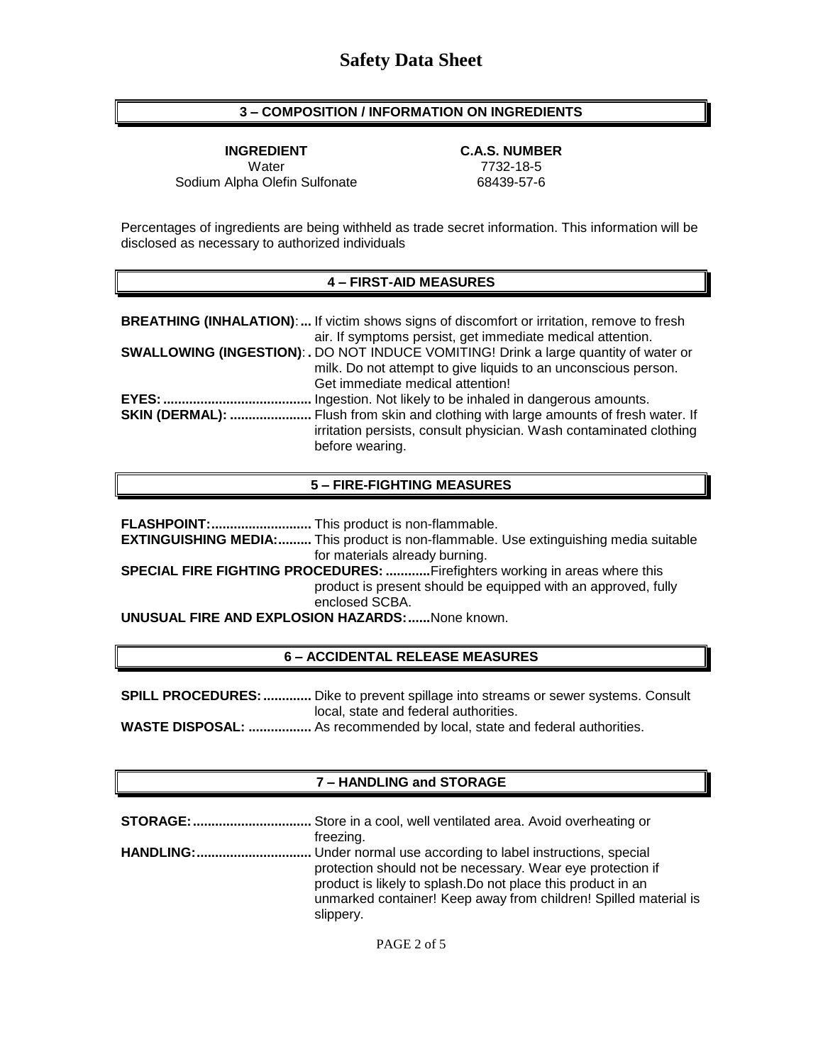### **3 – COMPOSITION / INFORMATION ON INGREDIENTS**

**INGREDIENT C.A.S. NUMBER** Water 7732-18-5 Sodium Alpha Olefin Sulfonate 68439-57-6

Percentages of ingredients are being withheld as trade secret information. This information will be disclosed as necessary to authorized individuals

#### **4 – FIRST-AID MEASURES**

| <b>BREATHING (INHALATION):</b> If victim shows signs of discomfort or irritation, remove to fresh                                                                                  |
|------------------------------------------------------------------------------------------------------------------------------------------------------------------------------------|
| air. If symptoms persist, get immediate medical attention.<br><b>SWALLOWING (INGESTION): .</b> DO NOT INDUCE VOMITING! Drink a large quantity of water or                          |
| milk. Do not attempt to give liquids to an unconscious person.<br>Get immediate medical attention!                                                                                 |
| Ingestion. Not likely to be inhaled in dangerous amounts.                                                                                                                          |
| <b>SKIN (DERMAL): </b> Flush from skin and clothing with large amounts of fresh water. If<br>irritation persists, consult physician. Wash contaminated clothing<br>before wearing. |

#### **5 – FIRE-FIGHTING MEASURES**

**FLASHPOINT:...........................** This product is non-flammable.

**EXTINGUISHING MEDIA:.........** This product is non-flammable. Use extinguishing media suitable for materials already burning.

**SPECIAL FIRE FIGHTING PROCEDURES: ............**Firefighters working in areas where this product is present should be equipped with an approved, fully enclosed SCBA.

**UNUSUAL FIRE AND EXPLOSION HAZARDS:......**None known.

#### **6 – ACCIDENTAL RELEASE MEASURES**

**SPILL PROCEDURES:.............** Dike to prevent spillage into streams or sewer systems. Consult local, state and federal authorities. **WASTE DISPOSAL: .................** As recommended by local, state and federal authorities.

#### **7 – HANDLING and STORAGE**

| freezing.                                                                                                                  |
|----------------------------------------------------------------------------------------------------------------------------|
|                                                                                                                            |
| protection should not be necessary. Wear eye protection if<br>product is likely to splash. Do not place this product in an |
| unmarked container! Keep away from children! Spilled material is<br>slippery.                                              |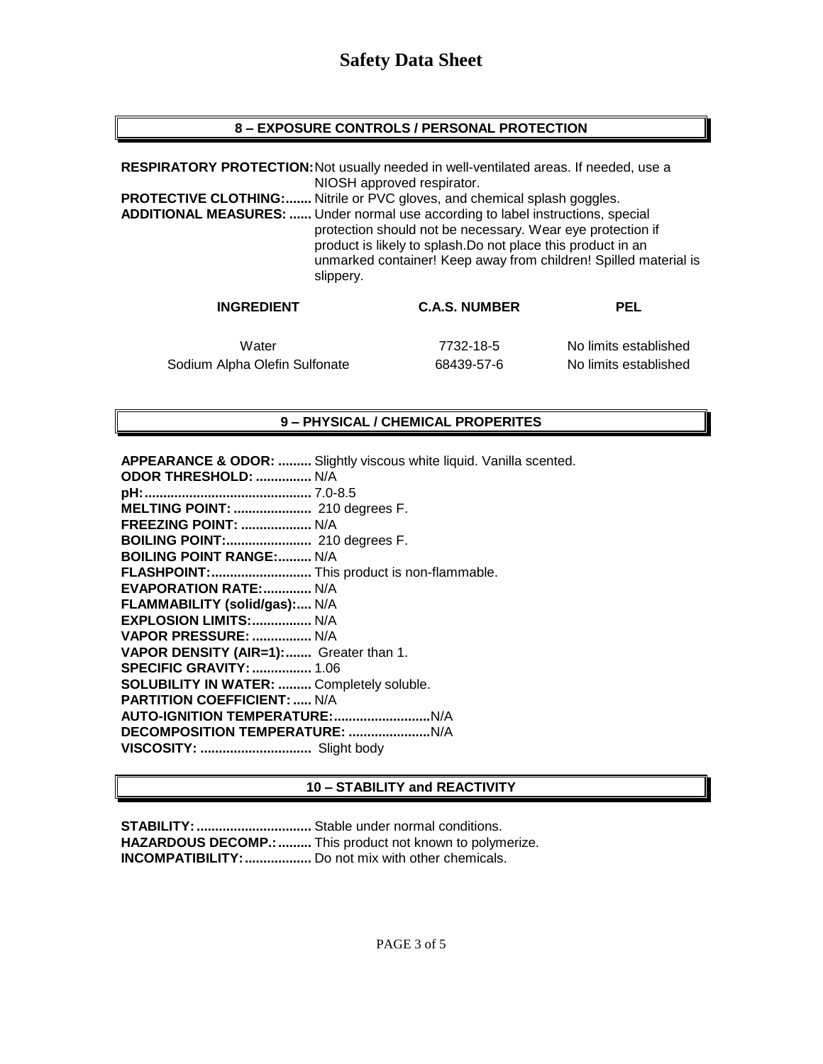## **8 – EXPOSURE CONTROLS / PERSONAL PROTECTION**

**RESPIRATORY PROTECTION:**Not usually needed in well-ventilated areas. If needed, use a NIOSH approved respirator. **PROTECTIVE CLOTHING:.......** Nitrile or PVC gloves, and chemical splash goggles. **ADDITIONAL MEASURES: ......** Under normal use according to label instructions, special protection should not be necessary. Wear eye protection if product is likely to splash.Do not place this product in an unmarked container! Keep away from children! Spilled material is slippery. **INGREDIENT C.A.S. NUMBER PEL** Water 7732-18-5 No limits established Sodium Alpha Olefin Sulfonate 68439-57-6 No limits established

## **9 – PHYSICAL / CHEMICAL PROPERITES**

**APPEARANCE & ODOR: .........** Slightly viscous white liquid. Vanilla scented.

| <b>ODOR THRESHOLD:  N/A</b>                      |  |
|--------------------------------------------------|--|
|                                                  |  |
| MELTING POINT:  210 degrees F.                   |  |
| <b>FREEZING POINT:  N/A</b>                      |  |
| BOILING POINT: 210 degrees F.                    |  |
| <b>BOILING POINT RANGE: N/A</b>                  |  |
| FLASHPOINT: This product is non-flammable.       |  |
| EVAPORATION RATE:  N/A                           |  |
| FLAMMABILITY (solid/gas): N/A                    |  |
| EXPLOSION LIMITS:  N/A                           |  |
| VAPOR PRESSURE:  N/A                             |  |
| VAPOR DENSITY (AIR=1): Greater than 1.           |  |
| <b>SPECIFIC GRAVITY:  1.06</b>                   |  |
| <b>SOLUBILITY IN WATER:  Completely soluble.</b> |  |
| <b>PARTITION COEFFICIENT:  N/A</b>               |  |
|                                                  |  |
|                                                  |  |
|                                                  |  |

### **10 – STABILITY and REACTIVITY**

**STABILITY:...............................** Stable under normal conditions. **HAZARDOUS DECOMP.:.........** This product not known to polymerize. **INCOMPATIBILITY:..................** Do not mix with other chemicals.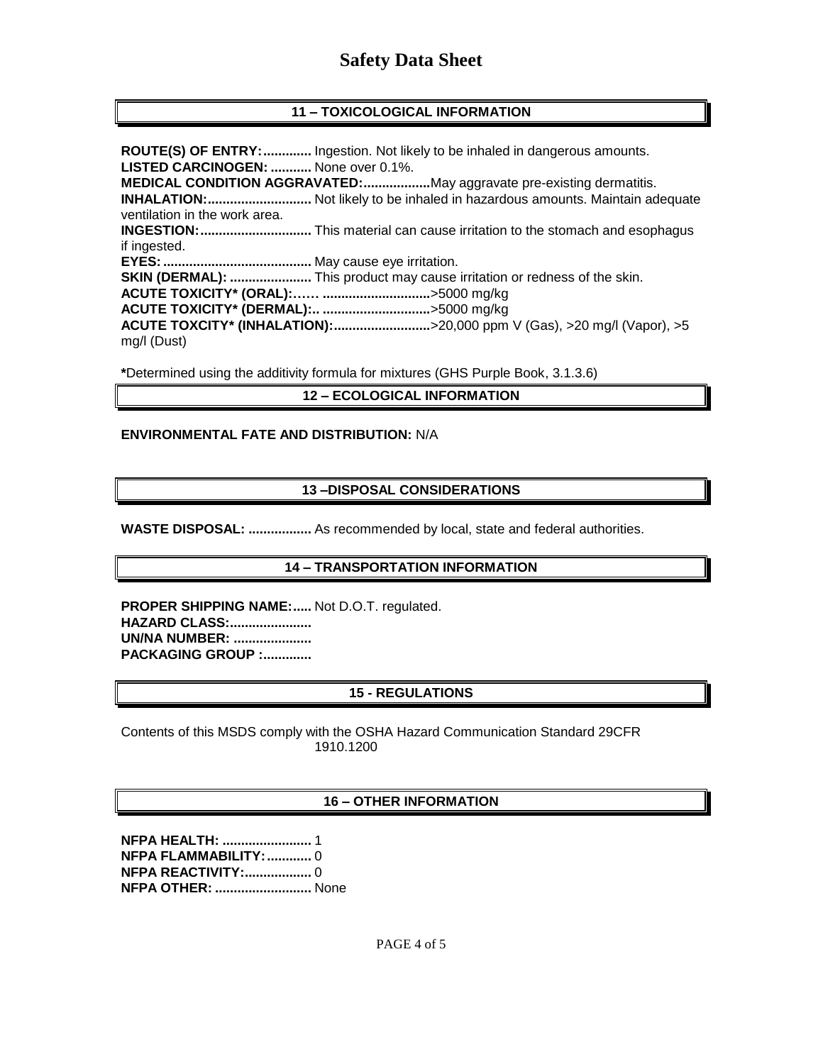# **11 – TOXICOLOGICAL INFORMATION**

**ROUTE(S) OF ENTRY:.............** Ingestion. Not likely to be inhaled in dangerous amounts. **LISTED CARCINOGEN: ...........** None over 0.1%. **MEDICAL CONDITION AGGRAVATED:..................**May aggravate pre-existing dermatitis. **INHALATION:............................** Not likely to be inhaled in hazardous amounts. Maintain adequate ventilation in the work area. **INGESTION:..............................** This material can cause irritation to the stomach and esophagus if ingested. **EYES:........................................** May cause eye irritation. **SKIN (DERMAL): ......................** This product may cause irritation or redness of the skin. **ACUTE TOXICITY\* (ORAL):…… .............................**>5000 mg/kg **ACUTE TOXICITY\* (DERMAL):.. .............................**>5000 mg/kg **ACUTE TOXCITY\* (INHALATION):..........................**>20,000 ppm V (Gas), >20 mg/l (Vapor), >5 mg/l (Dust)

**\***Determined using the additivity formula for mixtures (GHS Purple Book, 3.1.3.6)

#### **12 – ECOLOGICAL INFORMATION**

#### **ENVIRONMENTAL FATE AND DISTRIBUTION:** N/A

### **13 –DISPOSAL CONSIDERATIONS**

**WASTE DISPOSAL: .................** As recommended by local, state and federal authorities.

#### **14 – TRANSPORTATION INFORMATION**

**PROPER SHIPPING NAME:.....** Not D.O.T. regulated. **HAZARD CLASS:...................... UN/NA NUMBER: ..................... PACKAGING GROUP :.............**

### **15 - REGULATIONS**

Contents of this MSDS comply with the OSHA Hazard Communication Standard 29CFR 1910.1200

### **16 – OTHER INFORMATION**

**NFPA HEALTH: ........................** 1 **NFPA FLAMMABILITY:............** 0 **NFPA REACTIVITY:..................** 0 **NFPA OTHER: ..........................** None